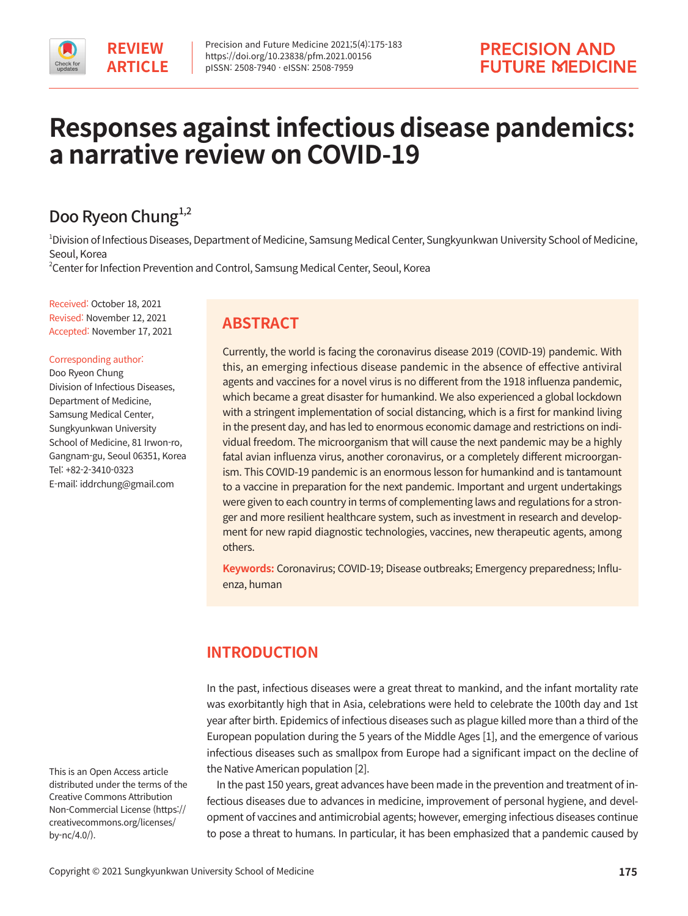

# **Responses against infectious disease pandemics: a narrative review on COVID-19**

## Doo Ryeon Chung<sup>1,2</sup>

1 Division of Infectious Diseases, Department of Medicine, Samsung Medical Center, Sungkyunkwan University School of Medicine, Seoul, Korea

2 Center for Infection Prevention and Control, Samsung Medical Center, Seoul, Korea

Received: October 18, 2021 Revised: November 12, 2021 Accepted: November 17, 2021

#### Corresponding author:

Doo Ryeon Chung Division of Infectious Diseases, Department of Medicine, Samsung Medical Center, Sungkyunkwan University School of Medicine, 81 Irwon-ro, Gangnam-gu, Seoul 06351, Korea Tel: +82-2-3410-0323 E-mail: iddrchung@gmail.com

## **ABSTRACT**

Currently, the world is facing the coronavirus disease 2019 (COVID-19) pandemic. With this, an emerging infectious disease pandemic in the absence of effective antiviral agents and vaccines for a novel virus is no different from the 1918 influenza pandemic, which became a great disaster for humankind. We also experienced a global lockdown with a stringent implementation of social distancing, which is a first for mankind living in the present day, and has led to enormous economic damage and restrictions on individual freedom. The microorganism that will cause the next pandemic may be a highly fatal avian influenza virus, another coronavirus, or a completely different microorganism. This COVID-19 pandemic is an enormous lesson for humankind and is tantamount to a vaccine in preparation for the next pandemic. Important and urgent undertakings were given to each country in terms of complementing laws and regulations for a stronger and more resilient healthcare system, such as investment in research and development for new rapid diagnostic technologies, vaccines, new therapeutic agents, among others.

**Keywords:** Coronavirus; COVID-19; Disease outbreaks; Emergency preparedness; Influenza, human

## **INTRODUCTION**

In the past, infectious diseases were a great threat to mankind, and the infant mortality rate was exorbitantly high that in Asia, celebrations were held to celebrate the 100th day and 1st year after birth. Epidemics of infectious diseases such as plague killed more than a third of the European population during the 5 years of the Middle Ages [1], and the emergence of various infectious diseases such as smallpox from Europe had a significant impact on the decline of the Native American population [2].

In the past 150 years, great advances have been made in the prevention and treatment of infectious diseases due to advances in medicine, improvement of personal hygiene, and development of vaccines and antimicrobial agents; however, emerging infectious diseases continue to pose a threat to humans. In particular, it has been emphasized that a pandemic caused by

This is an Open Access article distributed under the terms of the Creative Commons Attribution Non-Commercial License (https:// creativecommons.org/licenses/ by-nc/4.0/).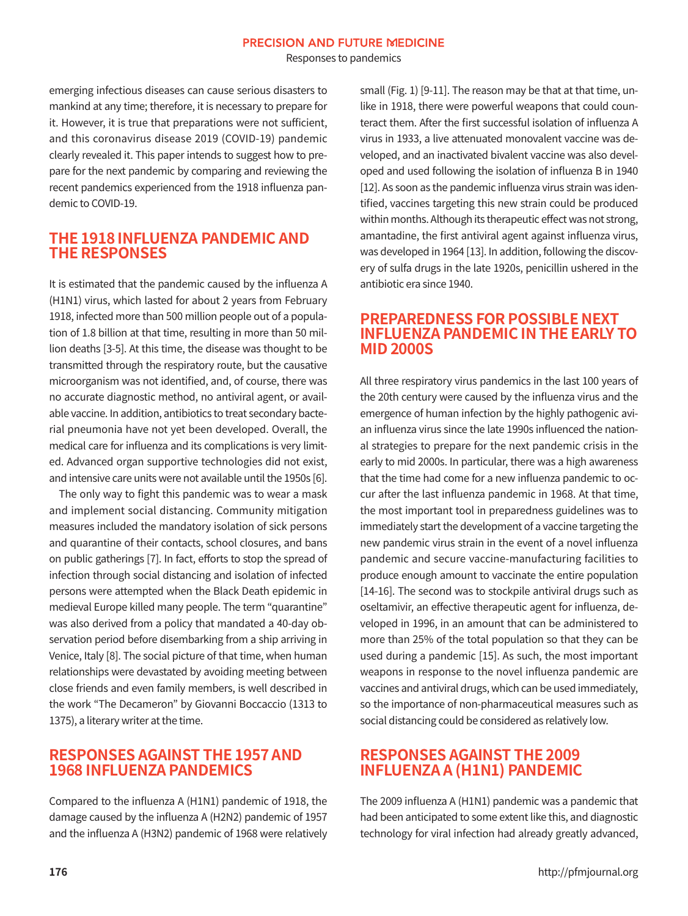Responses to pandemics

emerging infectious diseases can cause serious disasters to mankind at any time; therefore, it is necessary to prepare for it. However, it is true that preparations were not sufficient, and this coronavirus disease 2019 (COVID-19) pandemic clearly revealed it. This paper intends to suggest how to prepare for the next pandemic by comparing and reviewing the recent pandemics experienced from the 1918 influenza pandemic to COVID-19.

#### **THE 1918 INFLUENZA PANDEMIC AND THE RESPONSES**

It is estimated that the pandemic caused by the influenza A (H1N1) virus, which lasted for about 2 years from February 1918, infected more than 500 million people out of a population of 1.8 billion at that time, resulting in more than 50 million deaths [3-5]. At this time, the disease was thought to be transmitted through the respiratory route, but the causative microorganism was not identified, and, of course, there was no accurate diagnostic method, no antiviral agent, or available vaccine. In addition, antibiotics to treat secondary bacterial pneumonia have not yet been developed. Overall, the medical care for influenza and its complications is very limited. Advanced organ supportive technologies did not exist, and intensive care units were not available until the 1950s [6].

The only way to fight this pandemic was to wear a mask and implement social distancing. Community mitigation measures included the mandatory isolation of sick persons and quarantine of their contacts, school closures, and bans on public gatherings [7]. In fact, efforts to stop the spread of infection through social distancing and isolation of infected persons were attempted when the Black Death epidemic in medieval Europe killed many people. The term "quarantine" was also derived from a policy that mandated a 40-day observation period before disembarking from a ship arriving in Venice, Italy [8]. The social picture of that time, when human relationships were devastated by avoiding meeting between close friends and even family members, is well described in the work "The Decameron" by Giovanni Boccaccio (1313 to 1375), a literary writer at the time.

## **RESPONSES AGAINST THE 1957 AND 1968 INFLUENZA PANDEMICS**

Compared to the influenza A (H1N1) pandemic of 1918, the damage caused by the influenza A (H2N2) pandemic of 1957 and the influenza A (H3N2) pandemic of 1968 were relatively small (Fig. 1) [9-11]. The reason may be that at that time, unlike in 1918, there were powerful weapons that could counteract them. After the first successful isolation of influenza A virus in 1933, a live attenuated monovalent vaccine was developed, and an inactivated bivalent vaccine was also developed and used following the isolation of influenza B in 1940 [12]. As soon as the pandemic influenza virus strain was identified, vaccines targeting this new strain could be produced within months. Although its therapeutic effect was not strong, amantadine, the first antiviral agent against influenza virus, was developed in 1964 [13]. In addition, following the discovery of sulfa drugs in the late 1920s, penicillin ushered in the antibiotic era since 1940.

#### **PREPAREDNESS FOR POSSIBLE NEXT INFLUENZA PANDEMIC IN THE EARLY TO MID 2000S**

All three respiratory virus pandemics in the last 100 years of the 20th century were caused by the influenza virus and the emergence of human infection by the highly pathogenic avian influenza virus since the late 1990s influenced the national strategies to prepare for the next pandemic crisis in the early to mid 2000s. In particular, there was a high awareness that the time had come for a new influenza pandemic to occur after the last influenza pandemic in 1968. At that time, the most important tool in preparedness guidelines was to immediately start the development of a vaccine targeting the new pandemic virus strain in the event of a novel influenza pandemic and secure vaccine-manufacturing facilities to produce enough amount to vaccinate the entire population [14-16]. The second was to stockpile antiviral drugs such as oseltamivir, an effective therapeutic agent for influenza, developed in 1996, in an amount that can be administered to more than 25% of the total population so that they can be used during a pandemic [15]. As such, the most important weapons in response to the novel influenza pandemic are vaccines and antiviral drugs, which can be used immediately, so the importance of non-pharmaceutical measures such as social distancing could be considered as relatively low.

## **RESPONSES AGAINST THE 2009 INFLUENZA A (H1N1) PANDEMIC**

The 2009 influenza A (H1N1) pandemic was a pandemic that had been anticipated to some extent like this, and diagnostic technology for viral infection had already greatly advanced,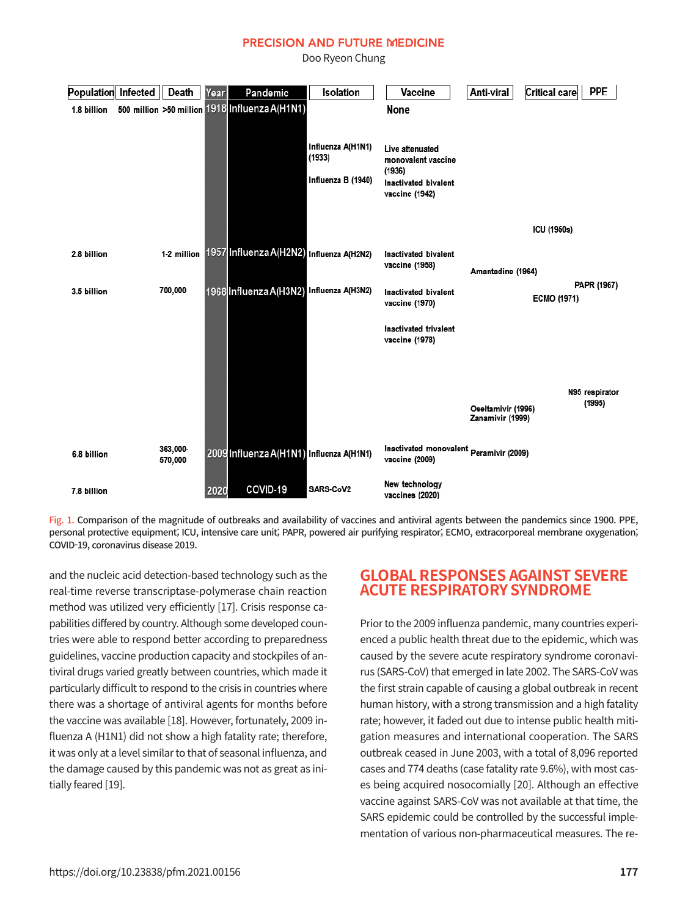Doo Ryeon Chung

| Population  | Infected | Death               | Year | Pandemic                                       | Isolation                   | Vaccine                                                   | Anti-viral                             | Critical care<br><b>PPE</b>       |
|-------------|----------|---------------------|------|------------------------------------------------|-----------------------------|-----------------------------------------------------------|----------------------------------------|-----------------------------------|
| 1.8 billion |          |                     |      | 500 million >50 million 1918 Influenza A(H1N1) |                             | None                                                      |                                        |                                   |
|             |          |                     |      |                                                | Influenza A(H1N1)<br>(1933) | Live attenuated<br>monovalent vaccine                     |                                        |                                   |
|             |          |                     |      |                                                | Influenza B (1940)          | (1936)<br>Inactivated bivalent<br>vaccine (1942)          |                                        |                                   |
|             |          |                     |      |                                                |                             |                                                           |                                        | ICU (1950s)                       |
| 2.8 billion |          | 1-2 million         |      | 1957 Influenza A(H2N2) Influenza A(H2N2)       |                             | Inactivated bivalent<br>vaccine (1958)                    | Amantadine (1964)                      |                                   |
| 3.5 billion |          | 700,000             |      | 1968 Influenza A(H3N2) Influenza A(H3N2)       |                             | Inactivated bivalent<br>vaccine (1970)                    |                                        | PAPR (1967)<br><b>ECMO (1971)</b> |
|             |          |                     |      |                                                |                             | Inactivated trivalent<br>vaccine (1978)                   |                                        |                                   |
|             |          |                     |      |                                                |                             |                                                           | Oseltamivir (1996)<br>Zanamivir (1999) | N95 respirator<br>(1995)          |
| 6.8 billion |          | 363,000-<br>570,000 |      | 2009 Influenza A(H1N1) Influenza A(H1N1)       |                             | Inactivated monovalent Peramivir (2009)<br>vaccine (2009) |                                        |                                   |
| 7.8 billion |          |                     | 2020 | COVID-19                                       | SARS-CoV2                   | New technology<br>vaccines (2020)                         |                                        |                                   |

Fig. 1. Comparison of the magnitude of outbreaks and availability of vaccines and antiviral agents between the pandemics since 1900. PPE, personal protective equipment; ICU, intensive care unit; PAPR, powered air purifying respirator; ECMO, extracorporeal membrane oxygenation; COVID-19, coronavirus disease 2019.

and the nucleic acid detection-based technology such as the real-time reverse transcriptase-polymerase chain reaction method was utilized very efficiently [17]. Crisis response capabilities differed by country. Although some developed countries were able to respond better according to preparedness guidelines, vaccine production capacity and stockpiles of antiviral drugs varied greatly between countries, which made it particularly difficult to respond to the crisis in countries where there was a shortage of antiviral agents for months before the vaccine was available [18]. However, fortunately, 2009 influenza A (H1N1) did not show a high fatality rate; therefore, it was only at a level similar to that of seasonal influenza, and the damage caused by this pandemic was not as great as initially feared [19].

## **GLOBAL RESPONSES AGAINST SEVERE ACUTE RESPIRATORY SYNDROME**

Prior to the 2009 influenza pandemic, many countries experienced a public health threat due to the epidemic, which was caused by the severe acute respiratory syndrome coronavirus (SARS-CoV) that emerged in late 2002. The SARS-CoV was the first strain capable of causing a global outbreak in recent human history, with a strong transmission and a high fatality rate; however, it faded out due to intense public health mitigation measures and international cooperation. The SARS outbreak ceased in June 2003, with a total of 8,096 reported cases and 774 deaths (case fatality rate 9.6%), with most cases being acquired nosocomially [20]. Although an effective vaccine against SARS-CoV was not available at that time, the SARS epidemic could be controlled by the successful implementation of various non-pharmaceutical measures. The re-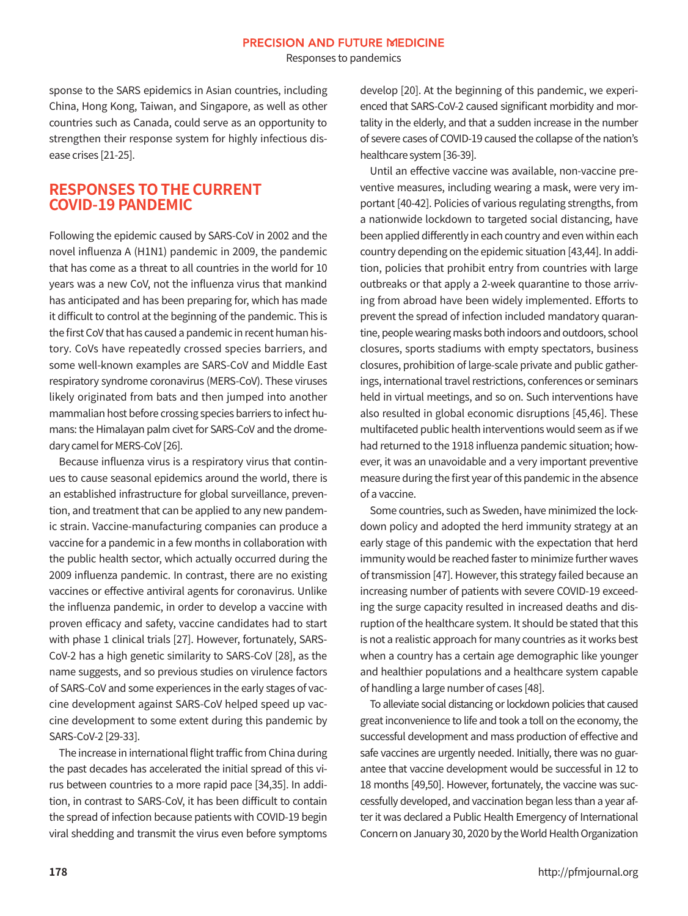Responses to pandemics

sponse to the SARS epidemics in Asian countries, including China, Hong Kong, Taiwan, and Singapore, as well as other countries such as Canada, could serve as an opportunity to strengthen their response system for highly infectious disease crises [21-25].

#### **RESPONSES TO THE CURRENT COVID-19 PANDEMIC**

Following the epidemic caused by SARS-CoV in 2002 and the novel influenza A (H1N1) pandemic in 2009, the pandemic that has come as a threat to all countries in the world for 10 years was a new CoV, not the influenza virus that mankind has anticipated and has been preparing for, which has made it difficult to control at the beginning of the pandemic. This is the first CoV that has caused a pandemic in recent human history. CoVs have repeatedly crossed species barriers, and some well-known examples are SARS-CoV and Middle East respiratory syndrome coronavirus (MERS-CoV). These viruses likely originated from bats and then jumped into another mammalian host before crossing species barriers to infect humans: the Himalayan palm civet for SARS-CoV and the dromedary camel for MERS-CoV [26].

Because influenza virus is a respiratory virus that continues to cause seasonal epidemics around the world, there is an established infrastructure for global surveillance, prevention, and treatment that can be applied to any new pandemic strain. Vaccine-manufacturing companies can produce a vaccine for a pandemic in a few months in collaboration with the public health sector, which actually occurred during the 2009 influenza pandemic. In contrast, there are no existing vaccines or effective antiviral agents for coronavirus. Unlike the influenza pandemic, in order to develop a vaccine with proven efficacy and safety, vaccine candidates had to start with phase 1 clinical trials [27]. However, fortunately, SARS-CoV-2 has a high genetic similarity to SARS-CoV [28], as the name suggests, and so previous studies on virulence factors of SARS-CoV and some experiences in the early stages of vaccine development against SARS-CoV helped speed up vaccine development to some extent during this pandemic by SARS-CoV-2 [29-33].

The increase in international flight traffic from China during the past decades has accelerated the initial spread of this virus between countries to a more rapid pace [34,35]. In addition, in contrast to SARS-CoV, it has been difficult to contain the spread of infection because patients with COVID-19 begin viral shedding and transmit the virus even before symptoms

develop [20]. At the beginning of this pandemic, we experienced that SARS-CoV-2 caused significant morbidity and mortality in the elderly, and that a sudden increase in the number of severe cases of COVID-19 caused the collapse of the nation's healthcare system [36-39].

Until an effective vaccine was available, non-vaccine preventive measures, including wearing a mask, were very important [40-42]. Policies of various regulating strengths, from a nationwide lockdown to targeted social distancing, have been applied differently in each country and even within each country depending on the epidemic situation [43,44]. In addition, policies that prohibit entry from countries with large outbreaks or that apply a 2-week quarantine to those arriving from abroad have been widely implemented. Efforts to prevent the spread of infection included mandatory quarantine, people wearing masks both indoors and outdoors, school closures, sports stadiums with empty spectators, business closures, prohibition of large-scale private and public gatherings, international travel restrictions, conferences or seminars held in virtual meetings, and so on. Such interventions have also resulted in global economic disruptions [45,46]. These multifaceted public health interventions would seem as if we had returned to the 1918 influenza pandemic situation; however, it was an unavoidable and a very important preventive measure during the first year of this pandemic in the absence of a vaccine.

Some countries, such as Sweden, have minimized the lockdown policy and adopted the herd immunity strategy at an early stage of this pandemic with the expectation that herd immunity would be reached faster to minimize further waves of transmission [47]. However, this strategy failed because an increasing number of patients with severe COVID-19 exceeding the surge capacity resulted in increased deaths and disruption of the healthcare system. It should be stated that this is not a realistic approach for many countries as it works best when a country has a certain age demographic like younger and healthier populations and a healthcare system capable of handling a large number of cases [48].

To alleviate social distancing or lockdown policies that caused great inconvenience to life and took a toll on the economy, the successful development and mass production of effective and safe vaccines are urgently needed. Initially, there was no guarantee that vaccine development would be successful in 12 to 18 months [49,50]. However, fortunately, the vaccine was successfully developed, and vaccination began less than a year after it was declared a Public Health Emergency of International Concern on January 30, 2020 by the World Health Organization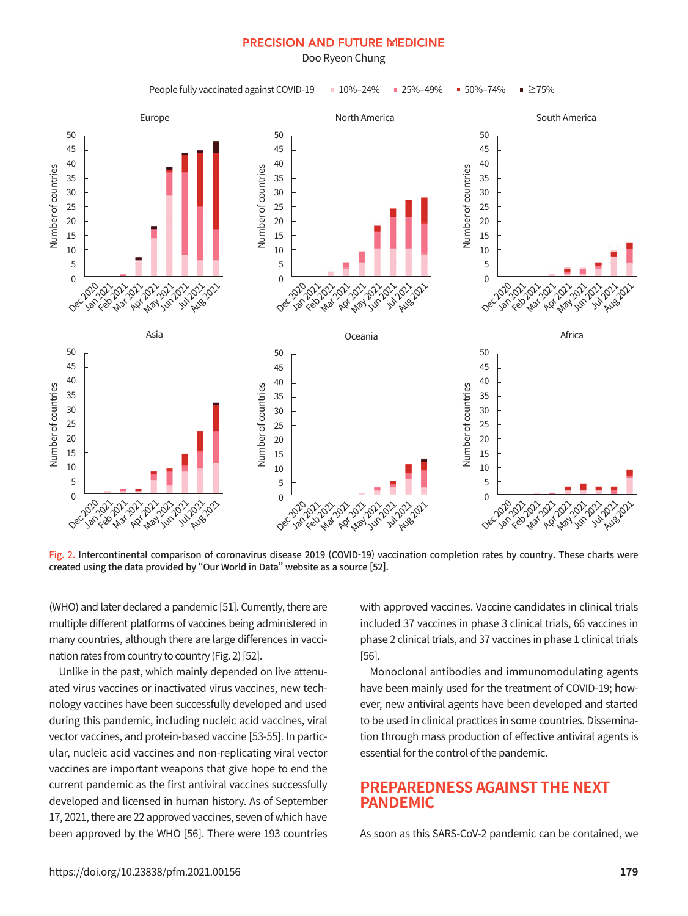Doo Ryeon Chung



Fig. 2. Intercontinental comparison of coronavirus disease 2019 (COVID-19) vaccination completion rates by country. These charts were created using the data provided by "Our World in Data" website as a source [52].

(WHO) and later declared a pandemic [51]. Currently, there are multiple different platforms of vaccines being administered in many countries, although there are large differences in vaccination rates from country to country (Fig. 2) [52].

Unlike in the past, which mainly depended on live attenuated virus vaccines or inactivated virus vaccines, new technology vaccines have been successfully developed and used during this pandemic, including nucleic acid vaccines, viral vector vaccines, and protein-based vaccine [53-55]. In particular, nucleic acid vaccines and non-replicating viral vector vaccines are important weapons that give hope to end the current pandemic as the first antiviral vaccines successfully developed and licensed in human history. As of September 17, 2021, there are 22 approved vaccines, seven of which have been approved by the WHO [56]. There were 193 countries

with approved vaccines. Vaccine candidates in clinical trials included 37 vaccines in phase 3 clinical trials, 66 vaccines in phase 2 clinical trials, and 37 vaccines in phase 1 clinical trials [56].

Monoclonal antibodies and immunomodulating agents have been mainly used for the treatment of COVID-19; however, new antiviral agents have been developed and started to be used in clinical practices in some countries. Dissemination through mass production of effective antiviral agents is essential for the control of the pandemic.

#### **PREPAREDNESS AGAINST THE NEXT PANDEMIC**

As soon as this SARS-CoV-2 pandemic can be contained, we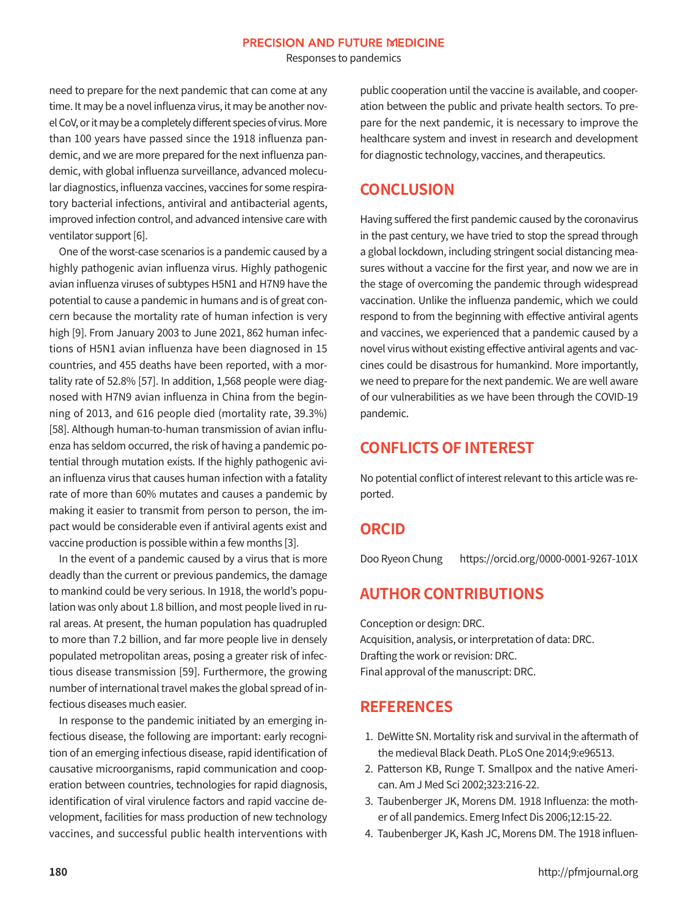Responses to pandemics

need to prepare for the next pandemic that can come at any time. It may be a novel influenza virus, it may be another novel CoV, or it may be a completely different species of virus. More than 100 years have passed since the 1918 influenza pandemic, and we are more prepared for the next influenza pandemic, with global influenza surveillance, advanced molecular diagnostics, influenza vaccines, vaccines for some respiratory bacterial infections, antiviral and antibacterial agents, improved infection control, and advanced intensive care with ventilator support [6].

One of the worst-case scenarios is a pandemic caused by a highly pathogenic avian influenza virus. Highly pathogenic avian influenza viruses of subtypes H5N1 and H7N9 have the potential to cause a pandemic in humans and is of great concern because the mortality rate of human infection is very high [9]. From January 2003 to June 2021, 862 human infections of H5N1 avian influenza have been diagnosed in 15 countries, and 455 deaths have been reported, with a mortality rate of 52.8% [57]. In addition, 1,568 people were diagnosed with H7N9 avian influenza in China from the beginning of 2013, and 616 people died (mortality rate, 39.3%) [58]. Although human-to-human transmission of avian influenza has seldom occurred, the risk of having a pandemic potential through mutation exists. If the highly pathogenic avian influenza virus that causes human infection with a fatality rate of more than 60% mutates and causes a pandemic by making it easier to transmit from person to person, the impact would be considerable even if antiviral agents exist and vaccine production is possible within a few months [3].

In the event of a pandemic caused by a virus that is more deadly than the current or previous pandemics, the damage to mankind could be very serious. In 1918, the world's population was only about 1.8 billion, and most people lived in rural areas. At present, the human population has quadrupled to more than 7.2 billion, and far more people live in densely populated metropolitan areas, posing a greater risk of infectious disease transmission [59]. Furthermore, the growing number of international travel makes the global spread of infectious diseases much easier.

In response to the pandemic initiated by an emerging infectious disease, the following are important: early recognition of an emerging infectious disease, rapid identification of causative microorganisms, rapid communication and cooperation between countries, technologies for rapid diagnosis, identification of viral virulence factors and rapid vaccine development, facilities for mass production of new technology vaccines, and successful public health interventions with public cooperation until the vaccine is available, and cooperation between the public and private health sectors. To prepare for the next pandemic, it is necessary to improve the healthcare system and invest in research and development for diagnostic technology, vaccines, and therapeutics.

## **CONCLUSION**

Having suffered the first pandemic caused by the coronavirus in the past century, we have tried to stop the spread through a global lockdown, including stringent social distancing measures without a vaccine for the first year, and now we are in the stage of overcoming the pandemic through widespread vaccination. Unlike the influenza pandemic, which we could respond to from the beginning with effective antiviral agents and vaccines, we experienced that a pandemic caused by a novel virus without existing effective antiviral agents and vaccines could be disastrous for humankind. More importantly, we need to prepare for the next pandemic. We are well aware of our vulnerabilities as we have been through the COVID-19 pandemic.

## **CONFLICTS OF INTEREST**

No potential conflict of interest relevant to this article was reported.

#### **ORCID**

Doo Ryeon Chung https://orcid.org/0000-0001-9267-101X

## **AUTHOR CONTRIBUTIONS**

Conception or design: DRC. Acquisition, analysis, or interpretation of data: DRC. Drafting the work or revision: DRC. Final approval of the manuscript: DRC.

## **REFERENCES**

- 1. DeWitte SN. Mortality risk and survival in the aftermath of the medieval Black Death. PLoS One 2014;9:e96513.
- 2. Patterson KB, Runge T. Smallpox and the native American. Am J Med Sci 2002;323:216-22.
- 3. Taubenberger JK, Morens DM. 1918 Influenza: the mother of all pandemics. Emerg Infect Dis 2006;12:15-22.
- 4. Taubenberger JK, Kash JC, Morens DM. The 1918 influen-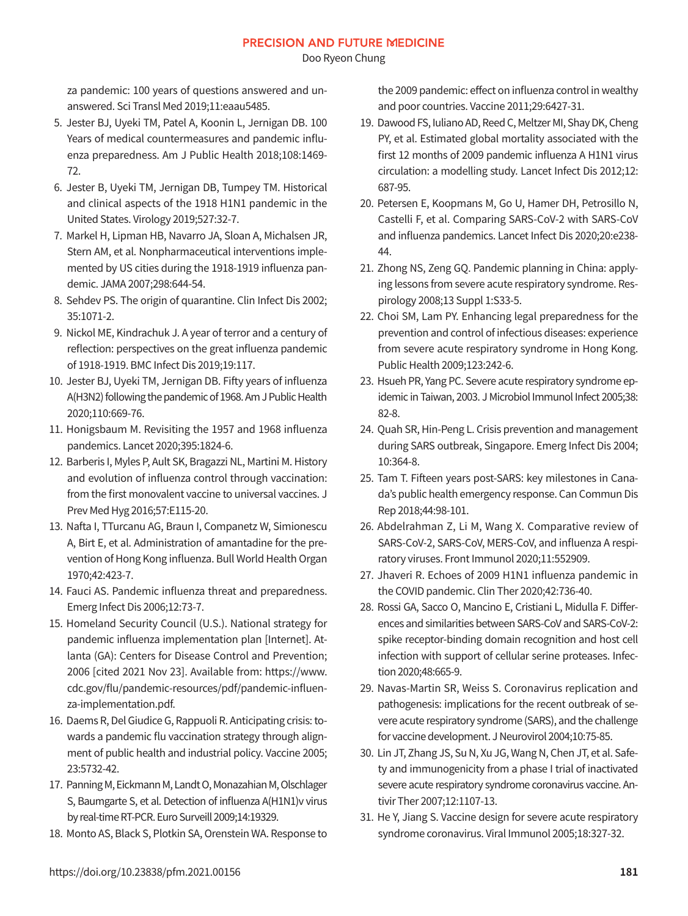Doo Ryeon Chung

za pandemic: 100 years of questions answered and unanswered. Sci Transl Med 2019;11:eaau5485.

- 5. Jester BJ, Uyeki TM, Patel A, Koonin L, Jernigan DB. 100 Years of medical countermeasures and pandemic influenza preparedness. Am J Public Health 2018;108:1469- 72.
- 6. Jester B, Uyeki TM, Jernigan DB, Tumpey TM. Historical and clinical aspects of the 1918 H1N1 pandemic in the United States. Virology 2019;527:32-7.
- 7. Markel H, Lipman HB, Navarro JA, Sloan A, Michalsen JR, Stern AM, et al. Nonpharmaceutical interventions implemented by US cities during the 1918-1919 influenza pandemic. JAMA 2007;298:644-54.
- 8. Sehdev PS. The origin of quarantine. Clin Infect Dis 2002; 35:1071-2.
- 9. Nickol ME, Kindrachuk J. A year of terror and a century of reflection: perspectives on the great influenza pandemic of 1918-1919. BMC Infect Dis 2019;19:117.
- 10. Jester BJ, Uyeki TM, Jernigan DB. Fifty years of influenza A(H3N2) following the pandemic of 1968. Am J Public Health 2020;110:669-76.
- 11. Honigsbaum M. Revisiting the 1957 and 1968 influenza pandemics. Lancet 2020;395:1824-6.
- 12. Barberis I, Myles P, Ault SK, Bragazzi NL, Martini M. History and evolution of influenza control through vaccination: from the first monovalent vaccine to universal vaccines. J Prev Med Hyg 2016;57:E115-20.
- 13. Nafta I, TTurcanu AG, Braun I, Companetz W, Simionescu A, Birt E, et al. Administration of amantadine for the prevention of Hong Kong influenza. Bull World Health Organ 1970;42:423-7.
- 14. Fauci AS. Pandemic influenza threat and preparedness. Emerg Infect Dis 2006;12:73-7.
- 15. Homeland Security Council (U.S.). National strategy for pandemic influenza implementation plan [Internet]. Atlanta (GA): Centers for Disease Control and Prevention; 2006 [cited 2021 Nov 23]. Available from: https://www. cdc.gov/flu/pandemic-resources/pdf/pandemic-influenza-implementation.pdf.
- 16. Daems R, Del Giudice G, Rappuoli R. Anticipating crisis: towards a pandemic flu vaccination strategy through alignment of public health and industrial policy. Vaccine 2005; 23:5732-42.
- 17. Panning M, Eickmann M, Landt O, Monazahian M, Olschlager S, Baumgarte S, et al. Detection of influenza A(H1N1)v virus by real-time RT-PCR. Euro Surveill 2009;14:19329.
- 18. Monto AS, Black S, Plotkin SA, Orenstein WA. Response to

the 2009 pandemic: effect on influenza control in wealthy and poor countries. Vaccine 2011;29:6427-31.

- 19. Dawood FS, Iuliano AD, Reed C, Meltzer MI, Shay DK, Cheng PY, et al. Estimated global mortality associated with the first 12 months of 2009 pandemic influenza A H1N1 virus circulation: a modelling study. Lancet Infect Dis 2012;12: 687-95.
- 20. Petersen E, Koopmans M, Go U, Hamer DH, Petrosillo N, Castelli F, et al. Comparing SARS-CoV-2 with SARS-CoV and influenza pandemics. Lancet Infect Dis 2020;20:e238- 44.
- 21. Zhong NS, Zeng GQ. Pandemic planning in China: applying lessons from severe acute respiratory syndrome. Respirology 2008;13 Suppl 1:S33-5.
- 22. Choi SM, Lam PY. Enhancing legal preparedness for the prevention and control of infectious diseases: experience from severe acute respiratory syndrome in Hong Kong. Public Health 2009;123:242-6.
- 23. Hsueh PR, Yang PC. Severe acute respiratory syndrome epidemic in Taiwan, 2003. J Microbiol Immunol Infect 2005;38: 82-8.
- 24. Quah SR, Hin-Peng L. Crisis prevention and management during SARS outbreak, Singapore. Emerg Infect Dis 2004; 10:364-8.
- 25. Tam T. Fifteen years post-SARS: key milestones in Canada's public health emergency response. Can Commun Dis Rep 2018;44:98-101.
- 26. Abdelrahman Z, Li M, Wang X. Comparative review of SARS-CoV-2, SARS-CoV, MERS-CoV, and influenza A respiratory viruses. Front Immunol 2020;11:552909.
- 27. Jhaveri R. Echoes of 2009 H1N1 influenza pandemic in the COVID pandemic. Clin Ther 2020;42:736-40.
- 28. Rossi GA, Sacco O, Mancino E, Cristiani L, Midulla F. Differences and similarities between SARS-CoV and SARS-CoV-2: spike receptor-binding domain recognition and host cell infection with support of cellular serine proteases. Infection 2020;48:665-9.
- 29. Navas-Martin SR, Weiss S. Coronavirus replication and pathogenesis: implications for the recent outbreak of severe acute respiratory syndrome (SARS), and the challenge for vaccine development. J Neurovirol 2004;10:75-85.
- 30. Lin JT, Zhang JS, Su N, Xu JG, Wang N, Chen JT, et al. Safety and immunogenicity from a phase I trial of inactivated severe acute respiratory syndrome coronavirus vaccine. Antivir Ther 2007;12:1107-13.
- 31. He Y, Jiang S. Vaccine design for severe acute respiratory syndrome coronavirus. Viral Immunol 2005;18:327-32.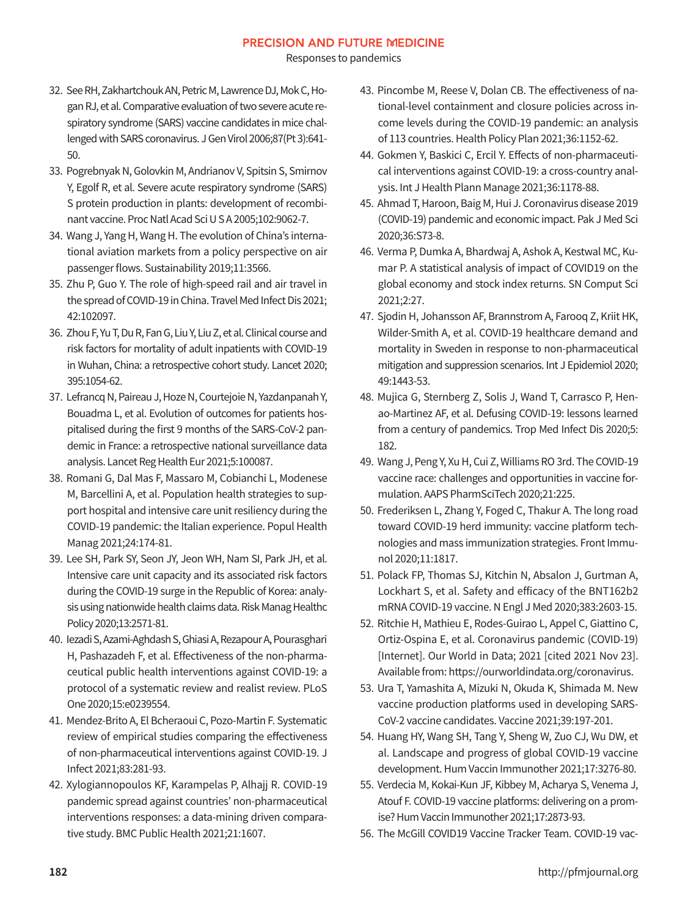Responses to pandemics

- 32. See RH, Zakhartchouk AN, Petric M, Lawrence DJ, Mok C, Hogan RJ, et al. Comparative evaluation of two severe acute respiratory syndrome (SARS) vaccine candidates in mice challenged with SARS coronavirus. J Gen Virol 2006;87(Pt 3):641- 50.
- 33. Pogrebnyak N, Golovkin M, Andrianov V, Spitsin S, Smirnov Y, Egolf R, et al. Severe acute respiratory syndrome (SARS) S protein production in plants: development of recombinant vaccine. Proc Natl Acad Sci U S A 2005;102:9062-7.
- 34. Wang J, Yang H, Wang H. The evolution of China's international aviation markets from a policy perspective on air passenger flows. Sustainability 2019;11:3566.
- 35. Zhu P, Guo Y. The role of high-speed rail and air travel in the spread of COVID-19 in China. Travel Med Infect Dis 2021; 42:102097.
- 36. Zhou F, Yu T, Du R, Fan G, Liu Y, Liu Z, et al. Clinical course and risk factors for mortality of adult inpatients with COVID-19 in Wuhan, China: a retrospective cohort study. Lancet 2020; 395:1054-62.
- 37. Lefrancq N, Paireau J, Hoze N, Courtejoie N, Yazdanpanah Y, Bouadma L, et al. Evolution of outcomes for patients hospitalised during the first 9 months of the SARS-CoV-2 pandemic in France: a retrospective national surveillance data analysis. Lancet Reg Health Eur 2021;5:100087.
- 38. Romani G, Dal Mas F, Massaro M, Cobianchi L, Modenese M, Barcellini A, et al. Population health strategies to support hospital and intensive care unit resiliency during the COVID-19 pandemic: the Italian experience. Popul Health Manag 2021;24:174-81.
- 39. Lee SH, Park SY, Seon JY, Jeon WH, Nam SI, Park JH, et al. Intensive care unit capacity and its associated risk factors during the COVID-19 surge in the Republic of Korea: analysis using nationwide health claims data. Risk Manag Healthc Policy 2020;13:2571-81.
- 40. Iezadi S, Azami-Aghdash S, Ghiasi A, Rezapour A, Pourasghari H, Pashazadeh F, et al. Effectiveness of the non-pharmaceutical public health interventions against COVID-19: a protocol of a systematic review and realist review. PLoS One 2020;15:e0239554.
- 41. Mendez-Brito A, El Bcheraoui C, Pozo-Martin F. Systematic review of empirical studies comparing the effectiveness of non-pharmaceutical interventions against COVID-19. J Infect 2021;83:281-93.
- 42. Xylogiannopoulos KF, Karampelas P, Alhajj R. COVID-19 pandemic spread against countries' non-pharmaceutical interventions responses: a data-mining driven comparative study. BMC Public Health 2021;21:1607.
- 43. Pincombe M, Reese V, Dolan CB. The effectiveness of national-level containment and closure policies across income levels during the COVID-19 pandemic: an analysis of 113 countries. Health Policy Plan 2021;36:1152-62.
- 44. Gokmen Y, Baskici C, Ercil Y. Effects of non-pharmaceutical interventions against COVID-19: a cross-country analysis. Int J Health Plann Manage 2021;36:1178-88.
- 45. Ahmad T, Haroon, Baig M, Hui J. Coronavirus disease 2019 (COVID-19) pandemic and economic impact. Pak J Med Sci 2020;36:S73-8.
- 46. Verma P, Dumka A, Bhardwaj A, Ashok A, Kestwal MC, Kumar P. A statistical analysis of impact of COVID19 on the global economy and stock index returns. SN Comput Sci 2021;2:27.
- 47. Sjodin H, Johansson AF, Brannstrom A, Farooq Z, Kriit HK, Wilder-Smith A, et al. COVID-19 healthcare demand and mortality in Sweden in response to non-pharmaceutical mitigation and suppression scenarios. Int J Epidemiol 2020; 49:1443-53.
- 48. Mujica G, Sternberg Z, Solis J, Wand T, Carrasco P, Henao-Martinez AF, et al. Defusing COVID-19: lessons learned from a century of pandemics. Trop Med Infect Dis 2020;5: 182.
- 49. Wang J, Peng Y, Xu H, Cui Z, Williams RO 3rd. The COVID-19 vaccine race: challenges and opportunities in vaccine formulation. AAPS PharmSciTech 2020;21:225.
- 50. Frederiksen L, Zhang Y, Foged C, Thakur A. The long road toward COVID-19 herd immunity: vaccine platform technologies and mass immunization strategies. Front Immunol 2020;11:1817.
- 51. Polack FP, Thomas SJ, Kitchin N, Absalon J, Gurtman A, Lockhart S, et al. Safety and efficacy of the BNT162b2 mRNA COVID-19 vaccine. N Engl J Med 2020;383:2603-15.
- 52. Ritchie H, Mathieu E, Rodes-Guirao L, Appel C, Giattino C, Ortiz-Ospina E, et al. Coronavirus pandemic (COVID-19) [Internet]. Our World in Data; 2021 [cited 2021 Nov 23]. Available from: https://ourworldindata.org/coronavirus.
- 53. Ura T, Yamashita A, Mizuki N, Okuda K, Shimada M. New vaccine production platforms used in developing SARS-CoV-2 vaccine candidates. Vaccine 2021;39:197-201.
- 54. Huang HY, Wang SH, Tang Y, Sheng W, Zuo CJ, Wu DW, et al. Landscape and progress of global COVID-19 vaccine development. Hum Vaccin Immunother 2021;17:3276-80.
- 55. Verdecia M, Kokai-Kun JF, Kibbey M, Acharya S, Venema J, Atouf F. COVID-19 vaccine platforms: delivering on a promise? Hum Vaccin Immunother 2021;17:2873-93.
- 56. The McGill COVID19 Vaccine Tracker Team. COVID-19 vac-